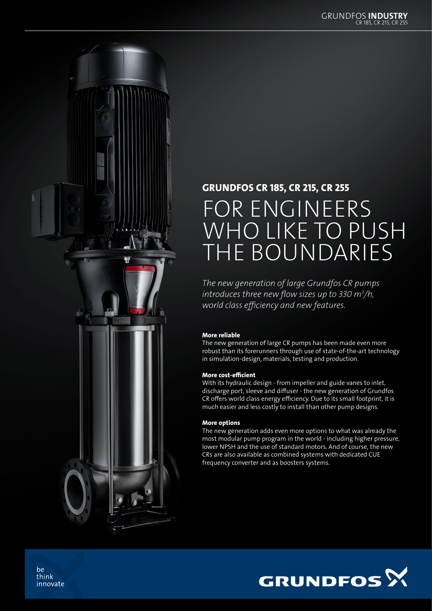

## GRUNDFOS CR 185, CR 215, CR 255

# FOR ENGINEERS WHO LIKE TO PUSH THE BOUNDARIES

*The new generation of large Grundfos CR pumps introduces three new flow sizes up to 330 m3 /h, world class efficiency and new features.* 

#### More reliable

The new generation of large CR pumps has been made even more robust than its forerunners through use of state-of-the-art technology in simulation-design, materials, testing and production.

#### More cost-efficient

With its hydraulic design - from impeller and guide vanes to inlet, discharge port, sleeve and diffuser - the new generation of Grundfos CR offers world class energy efficiency. Due to its small footprint, it is much easier and less costly to install than other pump designs.

#### More options

The new generation adds even more options to what was already the most modular pump program in the world - including higher pressure, lower NPSH and the use of standard motors. And of course, the new CRs are also available as combined systems with dedicated CUE frequency converter and as boosters systems.



be think innovate